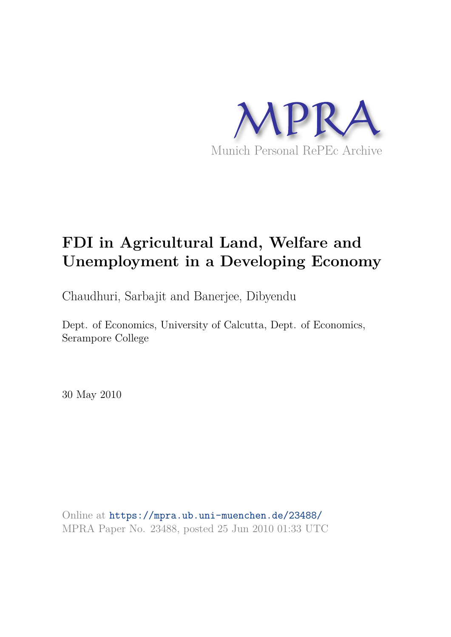

# **FDI in Agricultural Land, Welfare and Unemployment in a Developing Economy**

Chaudhuri, Sarbajit and Banerjee, Dibyendu

Dept. of Economics, University of Calcutta, Dept. of Economics, Serampore College

30 May 2010

Online at https://mpra.ub.uni-muenchen.de/23488/ MPRA Paper No. 23488, posted 25 Jun 2010 01:33 UTC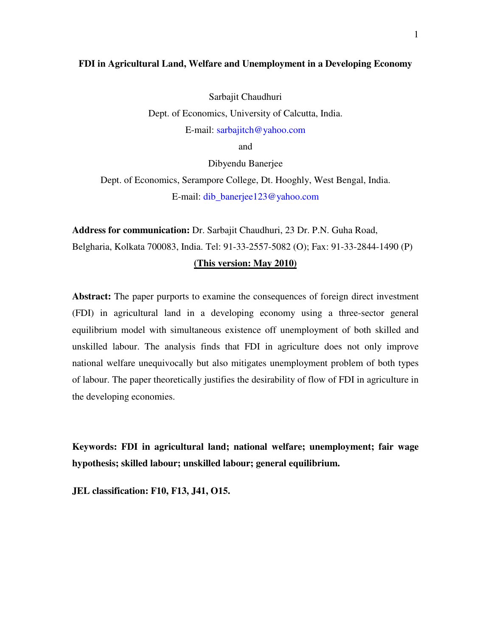#### **FDI in Agricultural Land, Welfare and Unemployment in a Developing Economy**

Sarbajit Chaudhuri Dept. of Economics, University of Calcutta, India. E-mail: [sarbajitch@yahoo.com](mailto:sarbajitch@yahoo.com)

and

Dibyendu Banerjee

Dept. of Economics, Serampore College, Dt. Hooghly, West Bengal, India. E-mail: [dib\\_banerjee123@yahoo.com](mailto:dib_banerjee123@yahoo.com)

**Address for communication:** Dr. Sarbajit Chaudhuri, 23 Dr. P.N. Guha Road, Belgharia, Kolkata 700083, India. Tel: 91-33-2557-5082 (O); Fax: 91-33-2844-1490 (P)

#### **(This version: May 2010)**

**Abstract:** The paper purports to examine the consequences of foreign direct investment (FDI) in agricultural land in a developing economy using a three-sector general equilibrium model with simultaneous existence off unemployment of both skilled and unskilled labour. The analysis finds that FDI in agriculture does not only improve national welfare unequivocally but also mitigates unemployment problem of both types of labour. The paper theoretically justifies the desirability of flow of FDI in agriculture in the developing economies.

**Keywords: FDI in agricultural land; national welfare; unemployment; fair wage hypothesis; skilled labour; unskilled labour; general equilibrium.**

**JEL classification: F10, F13, J41, O15.**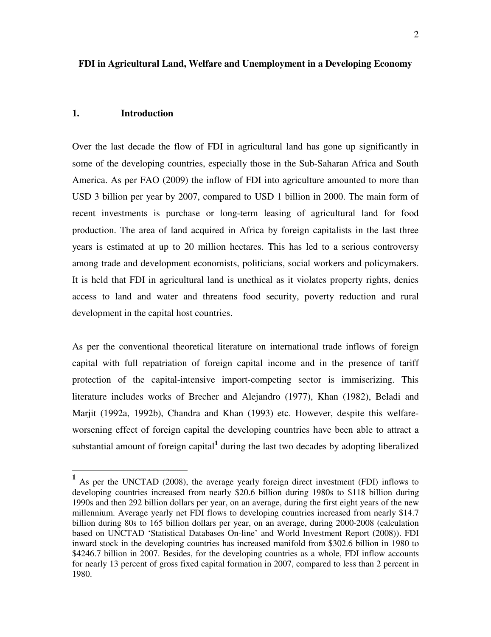#### **FDI in Agricultural Land, Welfare and Unemployment in a Developing Economy**

#### **1. Introduction**

Over the last decade the flow of FDI in agricultural land has gone up significantly in some of the developing countries, especially those in the Sub-Saharan Africa and South America. As per FAO (2009) the inflow of FDI into agriculture amounted to more than USD 3 billion per year by 2007, compared to USD 1 billion in 2000. The main form of recent investments is purchase or long-term leasing of agricultural land for food production. The area of land acquired in Africa by foreign capitalists in the last three years is estimated at up to 20 million hectares. This has led to a serious controversy among trade and development economists, politicians, social workers and policymakers. It is held that FDI in agricultural land is unethical as it violates property rights, denies access to land and water and threatens food security, poverty reduction and rural development in the capital host countries.

As per the conventional theoretical literature on international trade inflows of foreign capital with full repatriation of foreign capital income and in the presence of tariff protection of the capital-intensive import-competing sector is immiserizing. This literature includes works of Brecher and Alejandro (1977), Khan (1982), Beladi and Mariit (1992a, 1992b), Chandra and Khan (1993) etc. However, despite this welfareworsening effect of foreign capital the developing countries have been able to attract a substantial amount of foreign capital**<sup>1</sup>** during the last two decades by adopting liberalized

**<sup>1</sup>** As per the UNCTAD (2008), the average yearly foreign direct investment (FDI) inflows to developing countries increased from nearly \$20.6 billion during 1980s to \$118 billion during 1990s and then 292 billion dollars per year, on an average, during the first eight years of the new millennium. Average yearly net FDI flows to developing countries increased from nearly \$14.7 billion during 80s to 165 billion dollars per year, on an average, during 2000-2008 (calculation based on UNCTAD 'Statistical Databases On-line' and World Investment Report (2008)). FDI inward stock in the developing countries has increased manifold from \$302.6 billion in 1980 to \$4246.7 billion in 2007. Besides, for the developing countries as a whole. FDI inflow accounts for nearly 13 percent of gross fixed capital formation in 2007, compared to less than 2 percent in 1980.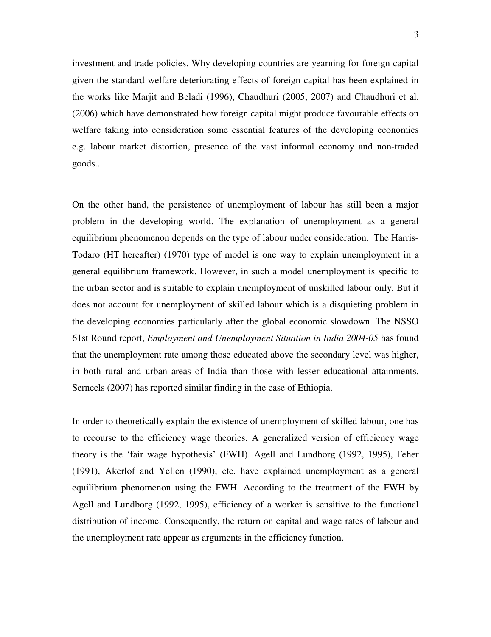investment and trade policies. Why developing countries are yearning for foreign capital given the standard welfare deteriorating effects of foreign capital has been explained in the works like Marjit and Beladi (1996), Chaudhuri (2005, 2007) and Chaudhuri et al. (2006) which have demonstrated how foreign capital might produce favourable effects on welfare taking into consideration some essential features of the developing economies e.g. labour market distortion, presence of the vast informal economy and non-traded goods..

On the other hand, the persistence of unemployment of labour has still been a major problem in the developing world. The explanation of unemployment as a general equilibrium phenomenon depends on the type of labour under consideration. The Harris-Todaro (HT hereafter) (1970) type of model is one way to explain unemployment in a general equilibrium framework. However, in such a model unemployment is specific to the urban sector and is suitable to explain unemployment of unskilled labour only. But it does not account for unemployment of skilled labour which is a disquieting problem in the developing economies particularly after the global economic slowdown. The NSSO 61st Round report, *Employment and Unemployment Situation in India 2004-05* has found that the unemployment rate among those educated above the secondary level was higher, in both rural and urban areas of India than those with lesser educational attainments. Serneels (2007) has reported similar finding in the case of Ethiopia.

In order to theoretically explain the existence of unemployment of skilled labour, one has to recourse to the efficiency wage theories. A generalized version of efficiency wage theory is the 'fair wage hypothesis' (FWH). Agell and Lundborg (1992, 1995), Feher (1991), Akerlof and Yellen (1990), etc. have explained unemployment as a general equilibrium phenomenon using the FWH. According to the treatment of the FWH by Agell and Lundborg (1992, 1995), efficiency of a worker is sensitive to the functional distribution of income. Consequently, the return on capital and wage rates of labour and the unemployment rate appear as arguments in the efficiency function.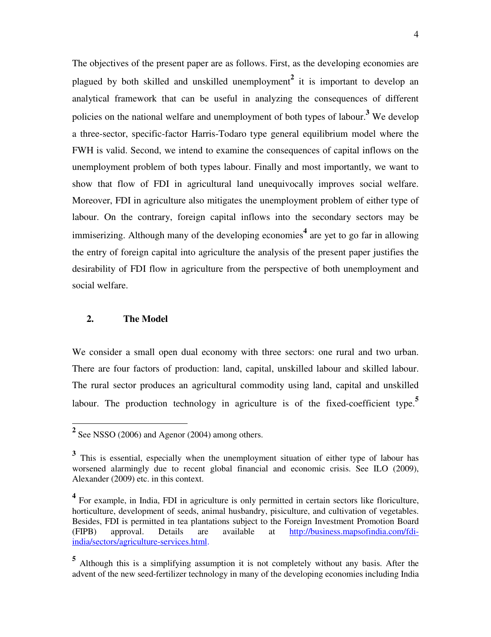The objectives of the present paper are as follows. First, as the developing economies are plagued by both skilled and unskilled unemployment**<sup>2</sup>** it is important to develop an analytical framework that can be useful in analyzing the consequences of different policies on the national welfare and unemployment of both types of labour.**<sup>3</sup>** We develop a three-sector, specific-factor Harris-Todaro type general equilibrium model where the FWH is valid. Second, we intend to examine the consequences of capital inflows on the unemployment problem of both types labour. Finally and most importantly, we want to show that flow of FDI in agricultural land unequivocally improves social welfare. Moreover, FDI in agriculture also mitigates the unemployment problem of either type of labour. On the contrary, foreign capital inflows into the secondary sectors may be immiserizing. Although many of the developing economies<sup>4</sup> are yet to go far in allowing the entry of foreign capital into agriculture the analysis of the present paper justifies the desirability of FDI flow in agriculture from the perspective of both unemployment and social welfare.

#### **2. The Model**

We consider a small open dual economy with three sectors: one rural and two urban. There are four factors of production: land, capital, unskilled labour and skilled labour. The rural sector produces an agricultural commodity using land, capital and unskilled labour. The production technology in agriculture is of the fixed-coefficient type.<sup>5</sup>

<sup>&</sup>lt;sup>2</sup> See NSSO (2006) and Agenor (2004) among others.

**<sup>3</sup>** This is essential, especially when the unemployment situation of either type of labour has worsened alarmingly due to recent global financial and economic crisis. See ILO (2009), Alexander (2009) etc. in this context.

<sup>&</sup>lt;sup>4</sup> For example, in India, FDI in agriculture is only permitted in certain sectors like floriculture, horticulture, development of seeds, animal husbandry, pisiculture, and cultivation of vegetables. Besides, FDI is permitted in tea plantations subject to the Foreign Investment Promotion Board (FIPB) approval. Details are available at [http://business.mapsofindia.com/fdi](http://business.mapsofindia.com/fdi-)india/sectors/agriculture-services.html.

**<sup>5</sup>** Although this is a simplifying assumption it is not completely without any basis. After the advent of the new seed-fertilizer technology in many of the developing economies including India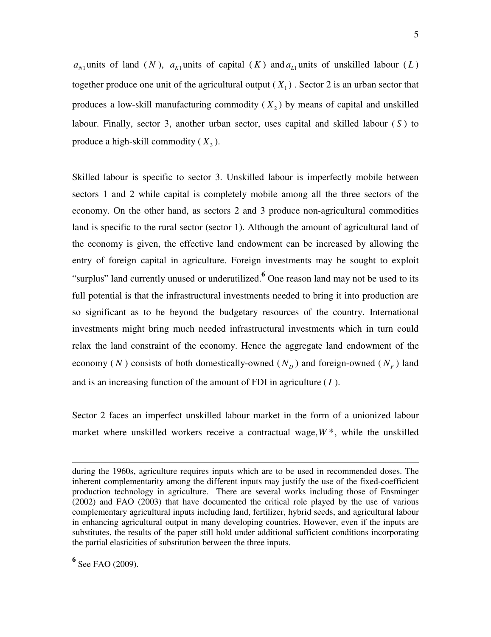$a_{N1}$  units of land (*N*),  $a_{K1}$  units of capital (*K*) and  $a_{L1}$  units of unskilled labour (*L*) together produce one unit of the agricultural output  $(X_1)$ . Sector 2 is an urban sector that produces a low-skill manufacturing commodity  $(X_2)$  by means of capital and unskilled labour. Finally, sector 3, another urban sector, uses capital and skilled labour ( *S* ) to produce a high-skill commodity  $(X_3)$ .

Skilled labour is specific to sector 3. Unskilled labour is imperfectly mobile between sectors 1 and 2 while capital is completely mobile among all the three sectors of the economy. On the other hand, as sectors 2 and 3 produce non-agricultural commodities land is specific to the rural sector (sector 1). Although the amount of agricultural land of the economy is given, the effective land endowment can be increased by allowing the entry of foreign capital in agriculture. Foreign investments may be sought to exploit "surplus" land currently unused or underutilized.**<sup>6</sup>** One reason land may not be used to its full potential is that the infrastructural investments needed to bring it into production are so significant as to be beyond the budgetary resources of the country. International investments might bring much needed infrastructural investments which in turn could relax the land constraint of the economy. Hence the aggregate land endowment of the economy (*N*) consists of both domestically-owned ( $N_D$ ) and foreign-owned ( $N_F$ ) land and is an increasing function of the amount of FDI in agriculture ( *I* ).

Sector 2 faces an imperfect unskilled labour market in the form of a unionized labour market where unskilled workers receive a contractual wage,  $W^*$ , while the unskilled

**6** See FAO (2009).

during the 1960s, agriculture requires inputs which are to be used in recommended doses. The inherent complementarity among the different inputs may justify the use of the fixed-coefficient production technology in agriculture. There are several works including those of Ensminger (2002) and FAO (2003) that have documented the critical role played by the use of various complementary agricultural inputs including land, fertilizer, hybrid seeds, and agricultural labour in enhancing agricultural output in many developing countries. However, even if the inputs are substitutes, the results of the paper still hold under additional sufficient conditions incorporating the partial elasticities of substitution between the three inputs.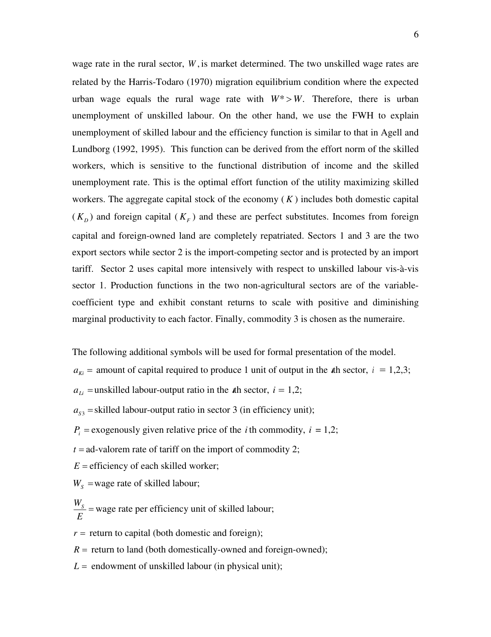wage rate in the rural sector, *W* , is market determined. The two unskilled wage rates are related by the Harris-Todaro (1970) migration equilibrium condition where the expected urban wage equals the rural wage rate with  $W^* > W$ . Therefore, there is urban unemployment of unskilled labour. On the other hand, we use the FWH to explain unemployment of skilled labour and the efficiency function is similar to that in Agell and Lundborg (1992, 1995). This function can be derived from the effort norm of the skilled workers, which is sensitive to the functional distribution of income and the skilled unemployment rate. This is the optimal effort function of the utility maximizing skilled workers. The aggregate capital stock of the economy  $(K)$  includes both domestic capital  $(K_D)$  and foreign capital  $(K_F)$  and these are perfect substitutes. Incomes from foreign capital and foreign-owned land are completely repatriated. Sectors 1 and 3 are the two export sectors while sector 2 is the import-competing sector and is protected by an import tariff. Sector 2 uses capital more intensively with respect to unskilled labour vis-à-vis sector 1. Production functions in the two non-agricultural sectors are of the variablecoefficient type and exhibit constant returns to scale with positive and diminishing marginal productivity to each factor. Finally, commodity 3 is chosen as the numeraire.

The following additional symbols will be used for formal presentation of the model.

- $a_{ki}$  = amount of capital required to produce 1 unit of output in the *i*th sector, *i* = 1,2,3;
- $a_{Li}$  = unskilled labour-output ratio in the *i*th sector,  $i = 1,2$ ;
- $a_{s3}$  = skilled labour-output ratio in sector 3 (in efficiency unit);
- $P_i$  = exogenously given relative price of the *i* th commodity, *i* = 1,2;
- $t =$ ad-valorem rate of tariff on the import of commodity 2;
- $E =$  efficiency of each skilled worker;
- $W_s$  = wage rate of skilled labour;
- *WS E* = wage rate per efficiency unit of skilled labour;
- $r =$  return to capital (both domestic and foreign);
- $R =$  return to land (both domestically-owned and foreign-owned);
- $L =$  endowment of unskilled labour (in physical unit);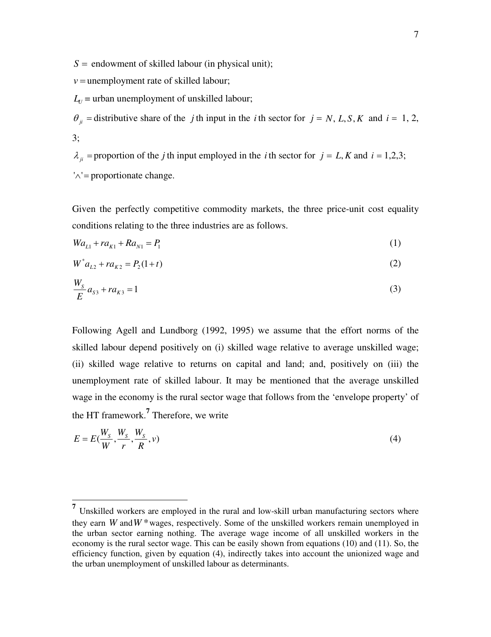$S =$  endowment of skilled labour (in physical unit);

 $v =$  unemployment rate of skilled labour;

 $L<sub>U</sub>$  = urban unemployment of unskilled labour;

 $\theta_{ji}$  = distributive share of the *j* th input in the *i* th sector for  $j = N$ , *L*, *S*, *K* and  $i = 1, 2$ , 3;

 $\lambda_{ji}$  = proportion of the *j* th input employed in the *i* th sector for  $j = L$ , *K* and  $i = 1,2,3$ ;

 $'\wedge'$  = proportionate change.

Given the perfectly competitive commodity markets, the three price-unit cost equality conditions relating to the three industries are as follows.

$$
Wa_{L1} + ra_{K1} + Ra_{N1} = P_1 \tag{1}
$$

$$
W^* a_{L2} + r a_{K2} = P_2(1+t) \tag{2}
$$

$$
\frac{W_s}{E}a_{s3} + ra_{k3} = 1\tag{3}
$$

Following Agell and Lundborg (1992, 1995) we assume that the effort norms of the skilled labour depend positively on (i) skilled wage relative to average unskilled wage; (ii) skilled wage relative to returns on capital and land; and, positively on (iii) the unemployment rate of skilled labour. It may be mentioned that the average unskilled wage in the economy is the rural sector wage that follows from the 'envelope property' of the HT framework.**<sup>7</sup>** Therefore, we write

$$
E = E(\frac{W_s}{W}, \frac{W_s}{r}, \frac{W_s}{R}, \nu)
$$
\n<sup>(4)</sup>

**<sup>7</sup>** Unskilled workers are employed in the rural and low-skill urban manufacturing sectors where they earn *W* and  $W^*$  wages, respectively. Some of the unskilled workers remain unemployed in the urban sector earning nothing. The average wage income of all unskilled workers in the economy is the rural sector wage. This can be easily shown from equations (10) and (11). So, the efficiency function, given by equation (4), indirectly takes into account the unionized wage and the urban unemployment of unskilled labour as determinants.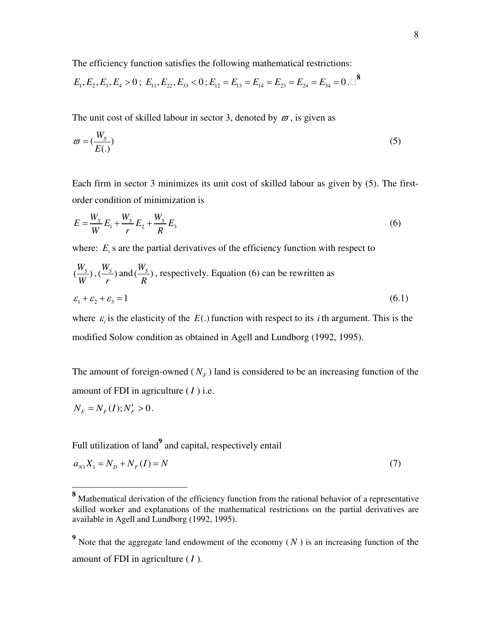The efficiency function satisfies the following mathematical restrictions:

$$
E_1, E_2, E_3, E_4 > 0
$$
;  $E_{11}, E_{22}, E_{33} < 0$ ;  $E_{12} = E_{13} = E_{14} = E_{23} = E_{24} = E_{34} = 0$ .

The unit cost of skilled labour in sector 3, denoted by  $\varpi$ , is given as

$$
\varpi = \left(\frac{W_{\rm S}}{E(.)}\right) \tag{5}
$$

Each firm in sector 3 minimizes its unit cost of skilled labour as given by (5). The firstorder condition of minimization is

$$
E = \frac{W_s}{W} E_1 + \frac{W_s}{r} E_2 + \frac{W_s}{R} E_3
$$
\n(6)

where:  $E_i$  s are the partial derivatives of the efficiency function with respect to

$$
(\frac{W_s}{W}), (\frac{W_s}{r})
$$
 and  $(\frac{W_s}{R})$ , respectively. Equation (6) can be rewritten as  
 $\varepsilon_1 + \varepsilon_2 + \varepsilon_3 = 1$  (6.1)

where  $\varepsilon$ <sub>i</sub> is the elasticity of the  $E(.)$  function with respect to its *i* th argument. This is the modified Solow condition as obtained in Agell and Lundborg (1992, 1995).

The amount of foreign-owned  $(N_F)$  land is considered to be an increasing function of the amount of FDI in agriculture  $(I)$  i.e.

$$
N_F = N_F(I); N'_F > 0.
$$

Full utilization of land<sup>9</sup> and capital, respectively entail

$$
a_{N1}X_1 = N_D + N_F(I) = N
$$
\n(7)

**<sup>8</sup>** Mathematical derivation of the efficiency function from the rational behavior of a representative skilled worker and explanations of the mathematical restrictions on the partial derivatives are available in Agell and Lundborg (1992, 1995).

<sup>&</sup>lt;sup>9</sup> Note that the aggregate land endowment of the economy (*N*) is an increasing function of the amount of FDI in agriculture ( *I* ).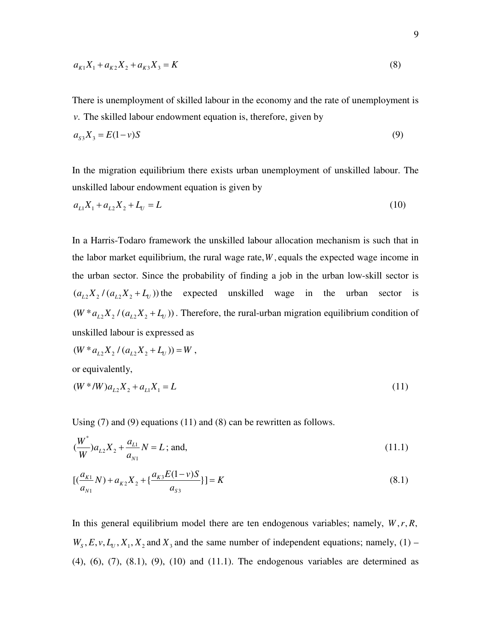$$
a_{K1}X_1 + a_{K2}X_2 + a_{K3}X_3 = K\tag{8}
$$

There is unemployment of skilled labour in the economy and the rate of unemployment is *v*. The skilled labour endowment equation is, therefore, given by

$$
a_{s3}X_3 = E(1 - v)S\tag{9}
$$

In the migration equilibrium there exists urban unemployment of unskilled labour. The unskilled labour endowment equation is given by

$$
a_{L1}X_1 + a_{L2}X_2 + L_U = L \tag{10}
$$

In a Harris-Todaro framework the unskilled labour allocation mechanism is such that in the labor market equilibrium, the rural wage rate,*W* , equals the expected wage income in the urban sector. Since the probability of finding a job in the urban low-skill sector is  $(a_{12}X, (a_{12}X, +L_1))$  the expected unskilled wage in the urban sector is  $(W * a_{1,2} X_2 / (a_{1,2} X_2 + L_U))$ . Therefore, the rural-urban migration equilibrium condition of unskilled labour is expressed as

$$
(W * a_{L2} X_2 / (a_{L2} X_2 + L_U)) = W,
$$

or equivalently,

$$
(W^* / W)a_{L2}X_2 + a_{L1}X_1 = L \tag{11}
$$

Using (7) and (9) equations (11) and (8) can be rewritten as follows.

$$
(\frac{W^*}{W})a_{L2}X_2 + \frac{a_{L1}}{a_{N1}}N = L \text{; and,}
$$
\n(11.1)

$$
\left[ \left( \frac{a_{K1}}{a_{N1}} N \right) + a_{K2} X_2 + \left\{ \frac{a_{K3} E(1-\nu) S}{a_{S3}} \right\} \right] = K \tag{8.1}
$$

In this general equilibrium model there are ten endogenous variables; namely,  $W, r, R$ ,  $W_s, E, v, L_v, X_1, X_2$  and  $X_3$  and the same number of independent equations; namely, (1) – (4), (6), (7), (8.1), (9), (10) and (11.1). The endogenous variables are determined as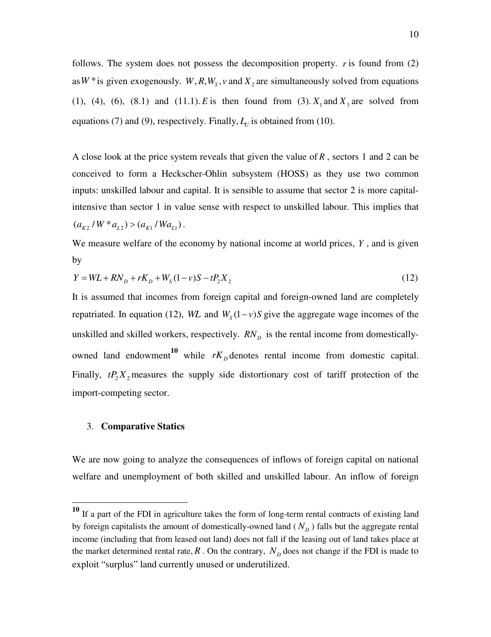follows. The system does not possess the decomposition property. *r* is found from (2) as  $W^*$  is given exogenously.  $W$ ,  $R$ ,  $W_s$ ,  $\nu$  and  $X_2$  are simultaneously solved from equations (1), (4), (6), (8.1) and (11.1). *E* is then found from (3).  $X_1$  and  $X_3$  are solved from equations (7) and (9), respectively. Finally,  $L_U$  is obtained from (10).

A close look at the price system reveals that given the value of *R* , sectors 1 and 2 can be conceived to form a Heckscher-Ohlin subsystem (HOSS) as they use two common inputs: unskilled labour and capital. It is sensible to assume that sector 2 is more capitalintensive than sector 1 in value sense with respect to unskilled labour. This implies that  $(a_{K2} / W * a_{L2}) > (a_{K1} / Wa_{L1}).$ 

We measure welfare of the economy by national income at world prices, *Y* , and is given by

$$
Y = WL + RND + rKD + WS(1 - v)S - tP2X2
$$
\n(12)

It is assumed that incomes from foreign capital and foreign-owned land are completely repatriated. In equation (12), *WL* and  $W_s(1 - v)S$  give the aggregate wage incomes of the unskilled and skilled workers, respectively.  $RN<sub>D</sub>$  is the rental income from domesticallyowned land endowment<sup>10</sup> while  $rK<sub>D</sub>$  denotes rental income from domestic capital. Finally,  $tP_2X_2$  measures the supply side distortionary cost of tariff protection of the import-competing sector.

#### 3. **Comparative Statics**

We are now going to analyze the consequences of inflows of foreign capital on national welfare and unemployment of both skilled and unskilled labour. An inflow of foreign

**<sup>10</sup>** If a part of the FDI in agriculture takes the form of long-term rental contracts of existing land by foreign capitalists the amount of domestically-owned land  $(N_D)$  falls but the aggregate rental income (including that from leased out land) does not fall if the leasing out of land takes place at the market determined rental rate,  $R$ . On the contrary,  $N_D$  does not change if the FDI is made to exploit "surplus" land currently unused or underutilized.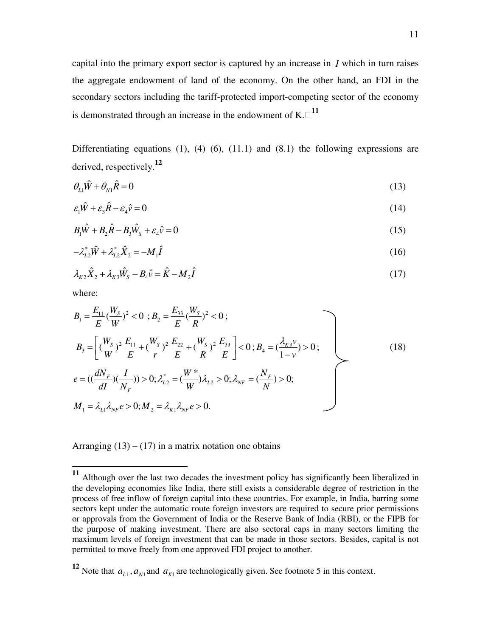capital into the primary export sector is captured by an increase in *I* which in turn raises the aggregate endowment of land of the economy. On the other hand, an FDI in the secondary sectors including the tariff-protected import-competing sector of the economy is demonstrated through an increase in the endowment of  $K_{\cdot} \Box^{11}$ 

Differentiating equations  $(1)$ ,  $(4)$   $(6)$ ,  $(11.1)$  and  $(8.1)$  the following expressions are derived, respectively.**<sup>12</sup>**

$$
\theta_{L1}\hat{W} + \theta_{N1}\hat{R} = 0\tag{13}
$$

$$
\varepsilon_1 \hat{W} + \varepsilon_3 \hat{R} - \varepsilon_4 \hat{v} = 0 \tag{14}
$$

$$
B_1\hat{W} + B_2\hat{R} - B_3\hat{W}_s + \varepsilon_4\hat{v} = 0\tag{15}
$$

$$
-\lambda_{L2}^* \hat{W} + \lambda_{L2}^* \hat{X}_2 = -M_1 \hat{I}
$$
 (16)

$$
\lambda_{K2} \hat{X}_2 + \lambda_{K3} \hat{W}_S - B_4 \hat{v} = \hat{K} - M_2 \hat{I}
$$
\n(17)

where:

$$
B_{1} = \frac{E_{11}}{E} (\frac{W_{S}}{W})^{2} < 0 ; B_{2} = \frac{E_{33}}{E} (\frac{W_{S}}{R})^{2} < 0 ;
$$
  
\n
$$
B_{3} = \left[ (\frac{W_{S}}{W})^{2} \frac{E_{11}}{E} + (\frac{W_{S}}{r})^{2} \frac{E_{22}}{E} + (\frac{W_{S}}{R})^{2} \frac{E_{33}}{E} \right] < 0 ; B_{4} = (\frac{\lambda_{K3}v}{1 - v}) > 0 ;
$$
  
\n
$$
e = ((\frac{dN_{F}}{dI})(\frac{I}{N_{F}})) > 0; \lambda_{L2}^{*} = (\frac{W^{*}}{W}) \lambda_{L2} > 0; \lambda_{NF} = (\frac{N_{F}}{N}) > 0;
$$
  
\n
$$
M_{1} = \lambda_{L1} \lambda_{NF} e > 0; M_{2} = \lambda_{K1} \lambda_{NF} e > 0.
$$
\n(18)

Arranging  $(13) - (17)$  in a matrix notation one obtains

**<sup>11</sup>** Although over the last two decades the investment policy has significantly been liberalized in the developing economies like India, there still exists a considerable degree of restriction in the process of free inflow of foreign capital into these countries. For example, in India, barring some sectors kept under the automatic route foreign investors are required to secure prior permissions or approvals from the Government of India or the Reserve Bank of India (RBI), or the FIPB for the purpose of making investment. There are also sectoral caps in many sectors limiting the maximum levels of foreign investment that can be made in those sectors. Besides, capital is not permitted to move freely from one approved FDI project to another.

<sup>&</sup>lt;sup>12</sup> Note that  $a_{L1}$ ,  $a_{N1}$  and  $a_{K1}$  are technologically given. See footnote 5 in this context.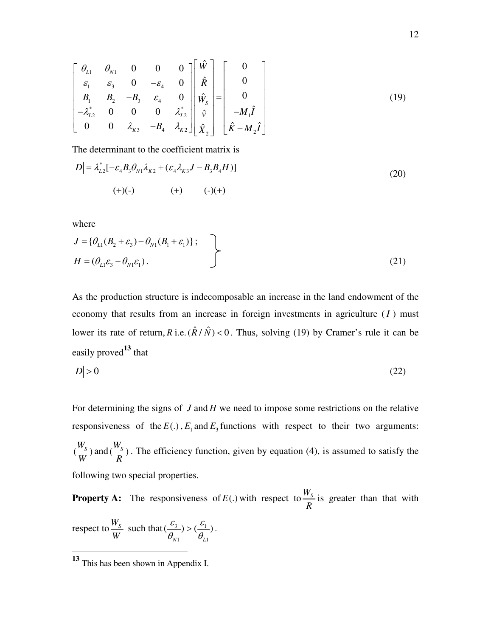$$
\begin{bmatrix}\n\theta_{L1} & \theta_{N1} & 0 & 0 & 0 \\
\varepsilon_1 & \varepsilon_3 & 0 & -\varepsilon_4 & 0 \\
B_1 & B_2 & -B_3 & \varepsilon_4 & 0 \\
-\lambda_{L2}^* & 0 & 0 & 0 & \lambda_{L2}^* \\
0 & 0 & \lambda_{K3} & -B_4 & \lambda_{K2}\n\end{bmatrix}\n\begin{bmatrix}\n\hat{W} \\
\hat{R} \\
\hat{W}_S \\
\hat{v} \\
\hat{X}_2\n\end{bmatrix} = \n\begin{bmatrix}\n0 \\
0 \\
0 \\
-\frac{M_1 \hat{I}}{\hat{K}} \\
-\frac{M_1 \hat{I}}{\hat{K}}\n\end{bmatrix}
$$
\n(19)

The determinant to the coefficient matrix is

$$
|D| = \lambda_{L2}^* [-\varepsilon_4 B_3 \theta_{N1} \lambda_{K2} + (\varepsilon_4 \lambda_{K3} J - B_3 B_4 H)]
$$
  
(+)(-)  
(+) (+) (+) (-)(+)

where

$$
J = \left\{ \theta_{L1} (B_2 + \varepsilon_3) - \theta_{N1} (B_1 + \varepsilon_1) \right\};
$$
  
\n
$$
H = (\theta_{L1} \varepsilon_3 - \theta_{N1} \varepsilon_1).
$$
\n(21)

As the production structure is indecomposable an increase in the land endowment of the economy that results from an increase in foreign investments in agriculture  $(I)$  must lower its rate of return, *R* i.e.  $(\hat{R}/\hat{N})$  < 0. Thus, solving (19) by Cramer's rule it can be easily proved**13** that

$$
|D| > 0 \tag{22}
$$

For determining the signs of *J* and *H* we need to impose some restrictions on the relative responsiveness of the  $E(.)$ ,  $E_1$  and  $E_3$  functions with respect to their two arguments:  $\left(\frac{W_s}{W_s}\right)$ *W* and  $\left(\frac{W_s}{P}\right)$ *R* . The efficiency function, given by equation (4), is assumed to satisfy the following two special properties.

**Property A:** The responsiveness of  $E(.)$  with respect to  $\frac{W_s}{R}$ *R* is greater than that with respect to  $\frac{W_s}{W}$ *W* such that  $(\frac{c_3}{2}) > (\frac{c_1}{2})$ 1  $V_{L1}$  $\left(\frac{c_3}{a}\right) > \left(\frac{c_1}{a}\right)$  $N1$   $V_L$  $\mathcal{E}_{2}$ ,  $\mathcal{E}_{3}$  $\frac{\epsilon_3}{\theta_{\mu_1}}$  >  $\left(\frac{\epsilon_1}{\theta_{\mu_1}}\right)$ .

**<sup>13</sup>** This has been shown in Appendix I.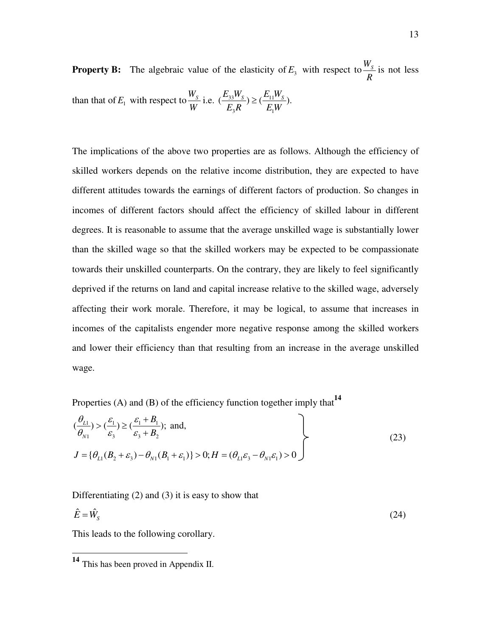**Property B:** The algebraic value of the elasticity of  $E_3$  with respect to  $\frac{W_S}{R}$ *R* is not less than that of  $E_1$  with respect to  $\frac{W_s}{W}$ *W* i.e.  $\left(\frac{L_{33}r}{R_{12}}\right) \geq \left(\frac{L_{11}}{R_{11}}\right)$  $3^{11}$   $2_1$  $(\frac{E_{33}W_s}{E_{12}}) \geq (\frac{E_{11}W_s}{E_{23}}).$  $E_3 R$   $E_1 W$  $\geq$ 

The implications of the above two properties are as follows. Although the efficiency of skilled workers depends on the relative income distribution, they are expected to have different attitudes towards the earnings of different factors of production. So changes in incomes of different factors should affect the efficiency of skilled labour in different degrees. It is reasonable to assume that the average unskilled wage is substantially lower than the skilled wage so that the skilled workers may be expected to be compassionate towards their unskilled counterparts. On the contrary, they are likely to feel significantly deprived if the returns on land and capital increase relative to the skilled wage, adversely affecting their work morale. Therefore, it may be logical, to assume that increases in incomes of the capitalists engender more negative response among the skilled workers and lower their efficiency than that resulting from an increase in the average unskilled wage.

Properties (A) and (B) of the efficiency function together imply that**<sup>14</sup>**

$$
\left\{\frac{\theta_{L1}}{\theta_{N1}}\right\} > \left(\frac{\varepsilon_1}{\varepsilon_3}\right) \ge \left(\frac{\varepsilon_1 + B_1}{\varepsilon_3 + B_2}\right); \text{ and,}
$$
\n
$$
J = \left\{\theta_{L1}(B_2 + \varepsilon_3) - \theta_{N1}(B_1 + \varepsilon_1)\right\} > 0; H = \left(\theta_{L1}\varepsilon_3 - \theta_{N1}\varepsilon_1\right) > 0
$$
\n
$$
(23)
$$

Differentiating (2) and (3) it is easy to show that

$$
\hat{E} = \hat{W}_s \tag{24}
$$

This leads to the following corollary.

**<sup>14</sup>** This has been proved in Appendix II.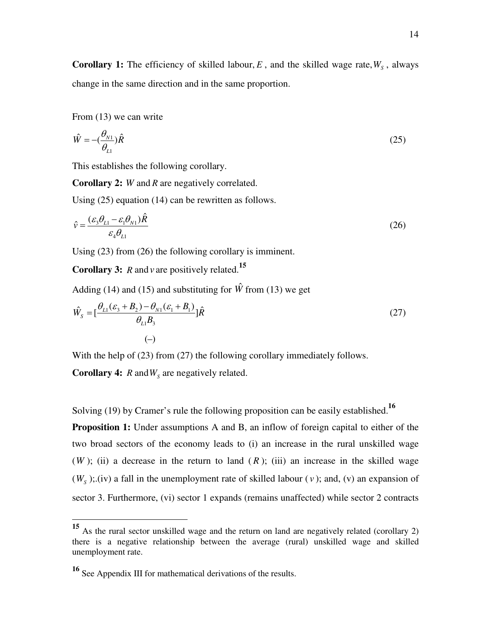14

**Corollary 1:** The efficiency of skilled labour,  $E$ , and the skilled wage rate,  $W_s$ , always change in the same direction and in the same proportion.

From (13) we can write

$$
\hat{W} = -\left(\frac{\theta_{N1}}{\theta_{L1}}\right)\hat{R}
$$
\n(25)

This establishes the following corollary.

**Corollary 2:** *W* and *R* are negatively correlated.

Using (25) equation (14) can be rewritten as follows.

$$
\hat{v} = \frac{(\varepsilon_3 \theta_{L1} - \varepsilon_1 \theta_{N1})\hat{R}}{\varepsilon_4 \theta_{L1}}\tag{26}
$$

Using (23) from (26) the following corollary is imminent.

**Corollary 3:** *R* and *v* are positively related.**<sup>15</sup>**

Adding (14) and (15) and substituting for  $\hat{W}$  from (13) we get

$$
\hat{W}_s = \left[\frac{\theta_{L1}(\varepsilon_3 + B_2) - \theta_{N1}(\varepsilon_1 + B_1)}{\theta_{L1}B_3}\right] \hat{R}
$$
\n
$$
(-)
$$
\n(27)

With the help of (23) from (27) the following corollary immediately follows.

**Corollary 4:**  $R$  and  $W_s$  are negatively related.

Solving (19) by Cramer's rule the following proposition can be easily established.**<sup>16</sup>**

**Proposition 1:** Under assumptions A and B, an inflow of foreign capital to either of the two broad sectors of the economy leads to (i) an increase in the rural unskilled wage  $(W)$ ; (ii) a decrease in the return to land  $(R)$ ; (iii) an increase in the skilled wage  $(W<sub>S</sub>)$ ; (iv) a fall in the unemployment rate of skilled labour ( $\nu$ ); and, (v) an expansion of sector 3. Furthermore, (vi) sector 1 expands (remains unaffected) while sector 2 contracts

<sup>&</sup>lt;sup>15</sup> As the rural sector unskilled wage and the return on land are negatively related (corollary 2) there is a negative relationship between the average (rural) unskilled wage and skilled unemployment rate.

**<sup>16</sup>** See Appendix III for mathematical derivations of the results.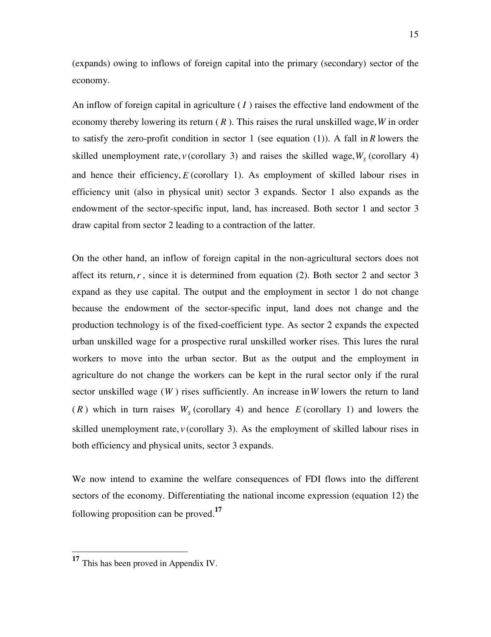(expands) owing to inflows of foreign capital into the primary (secondary) sector of the economy.

An inflow of foreign capital in agriculture  $(I)$  raises the effective land endowment of the economy thereby lowering its return ( *R* ). This raises the rural unskilled wage,*W* in order to satisfy the zero-profit condition in sector 1 (see equation (1)). A fall in *R* lowers the skilled unemployment rate,  $v$  (corollary 3) and raises the skilled wage,  $W_s$  (corollary 4) and hence their efficiency, *E* (corollary 1). As employment of skilled labour rises in efficiency unit (also in physical unit) sector 3 expands. Sector 1 also expands as the endowment of the sector-specific input, land, has increased. Both sector 1 and sector 3 draw capital from sector 2 leading to a contraction of the latter.

On the other hand, an inflow of foreign capital in the non-agricultural sectors does not affect its return,  $r$ , since it is determined from equation (2). Both sector 2 and sector 3 expand as they use capital. The output and the employment in sector 1 do not change because the endowment of the sector-specific input, land does not change and the production technology is of the fixed-coefficient type. As sector 2 expands the expected urban unskilled wage for a prospective rural unskilled worker rises. This lures the rural workers to move into the urban sector. But as the output and the employment in agriculture do not change the workers can be kept in the rural sector only if the rural sector unskilled wage (*W* ) rises sufficiently. An increase in*W* lowers the return to land  $(R)$  which in turn raises  $W<sub>S</sub>$  (corollary 4) and hence  $E$  (corollary 1) and lowers the skilled unemployment rate,  $v$  (corollary 3). As the employment of skilled labour rises in both efficiency and physical units, sector 3 expands.

We now intend to examine the welfare consequences of FDI flows into the different sectors of the economy. Differentiating the national income expression (equation 12) the following proposition can be proved.**<sup>17</sup>**

**<sup>17</sup>** This has been proved in Appendix IV.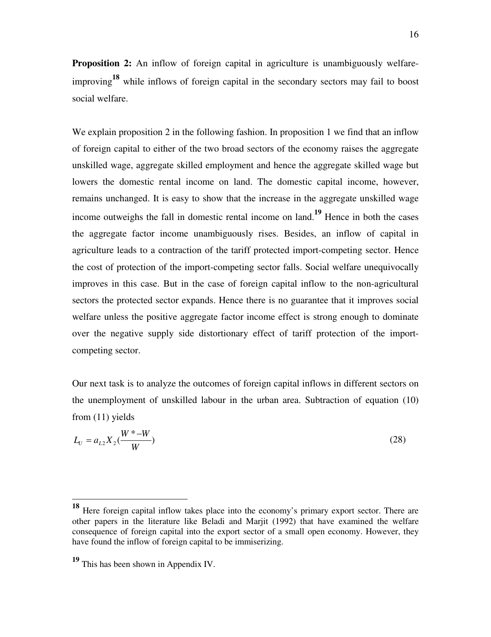**Proposition 2:** An inflow of foreign capital in agriculture is unambiguously welfareimproving**18** while inflows of foreign capital in the secondary sectors may fail to boost social welfare.

We explain proposition 2 in the following fashion. In proposition 1 we find that an inflow of foreign capital to either of the two broad sectors of the economy raises the aggregate unskilled wage, aggregate skilled employment and hence the aggregate skilled wage but lowers the domestic rental income on land. The domestic capital income, however, remains unchanged. It is easy to show that the increase in the aggregate unskilled wage income outweighs the fall in domestic rental income on land.**19** Hence in both the cases the aggregate factor income unambiguously rises. Besides, an inflow of capital in agriculture leads to a contraction of the tariff protected import-competing sector. Hence the cost of protection of the import-competing sector falls. Social welfare unequivocally improves in this case. But in the case of foreign capital inflow to the non-agricultural sectors the protected sector expands. Hence there is no guarantee that it improves social welfare unless the positive aggregate factor income effect is strong enough to dominate over the negative supply side distortionary effect of tariff protection of the importcompeting sector.

Our next task is to analyze the outcomes of foreign capital inflows in different sectors on the unemployment of unskilled labour in the urban area. Subtraction of equation (10) from (11) yields

$$
L_{U} = a_{L2} X_{2} (\frac{W^{*} - W}{W})
$$
\n(28)

**<sup>18</sup>** Here foreign capital inflow takes place into the economy's primary export sector. There are other papers in the literature like Beladi and Marjit (1992) that have examined the welfare consequence of foreign capital into the export sector of a small open economy. However, they have found the inflow of foreign capital to be immiserizing.

**<sup>19</sup>** This has been shown in Appendix IV.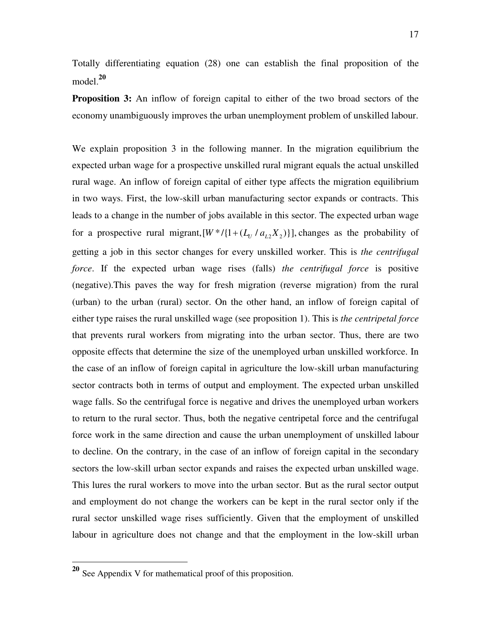Totally differentiating equation (28) one can establish the final proposition of the model.**<sup>20</sup>**

**Proposition 3:** An inflow of foreign capital to either of the two broad sectors of the economy unambiguously improves the urban unemployment problem of unskilled labour.

We explain proposition 3 in the following manner. In the migration equilibrium the expected urban wage for a prospective unskilled rural migrant equals the actual unskilled rural wage. An inflow of foreign capital of either type affects the migration equilibrium in two ways. First, the low-skill urban manufacturing sector expands or contracts. This leads to a change in the number of jobs available in this sector. The expected urban wage for a prospective rural migrant,  $[W^*/{1 + (L_1 / a_{1,2} X_2)}]$ , changes as the probability of getting a job in this sector changes for every unskilled worker. This is *the centrifugal force*. If the expected urban wage rises (falls) *the centrifugal force* is positive (negative).This paves the way for fresh migration (reverse migration) from the rural (urban) to the urban (rural) sector. On the other hand, an inflow of foreign capital of either type raises the rural unskilled wage (see proposition 1). This is *the centripetal force* that prevents rural workers from migrating into the urban sector. Thus, there are two opposite effects that determine the size of the unemployed urban unskilled workforce. In the case of an inflow of foreign capital in agriculture the low-skill urban manufacturing sector contracts both in terms of output and employment. The expected urban unskilled wage falls. So the centrifugal force is negative and drives the unemployed urban workers to return to the rural sector. Thus, both the negative centripetal force and the centrifugal force work in the same direction and cause the urban unemployment of unskilled labour to decline. On the contrary, in the case of an inflow of foreign capital in the secondary sectors the low-skill urban sector expands and raises the expected urban unskilled wage. This lures the rural workers to move into the urban sector. But as the rural sector output and employment do not change the workers can be kept in the rural sector only if the rural sector unskilled wage rises sufficiently. Given that the employment of unskilled labour in agriculture does not change and that the employment in the low-skill urban

**<sup>20</sup>** See Appendix V for mathematical proof of this proposition.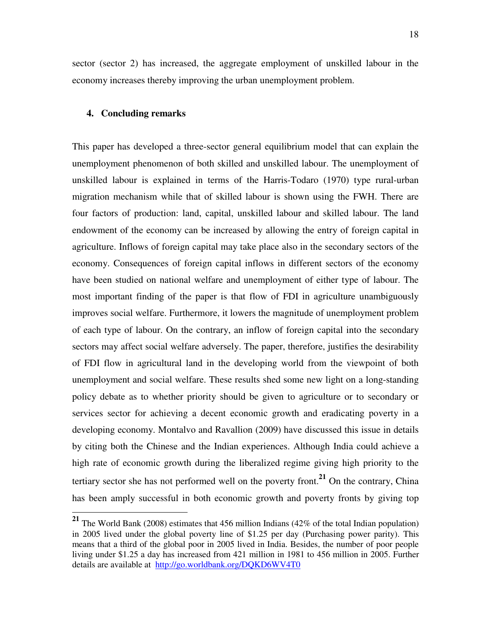sector (sector 2) has increased, the aggregate employment of unskilled labour in the economy increases thereby improving the urban unemployment problem.

#### **4. Concluding remarks**

This paper has developed a three-sector general equilibrium model that can explain the unemployment phenomenon of both skilled and unskilled labour. The unemployment of unskilled labour is explained in terms of the Harris-Todaro (1970) type rural-urban migration mechanism while that of skilled labour is shown using the FWH. There are four factors of production: land, capital, unskilled labour and skilled labour. The land endowment of the economy can be increased by allowing the entry of foreign capital in agriculture. Inflows of foreign capital may take place also in the secondary sectors of the economy. Consequences of foreign capital inflows in different sectors of the economy have been studied on national welfare and unemployment of either type of labour. The most important finding of the paper is that flow of FDI in agriculture unambiguously improves social welfare. Furthermore, it lowers the magnitude of unemployment problem of each type of labour. On the contrary, an inflow of foreign capital into the secondary sectors may affect social welfare adversely. The paper, therefore, justifies the desirability of FDI flow in agricultural land in the developing world from the viewpoint of both unemployment and social welfare. These results shed some new light on a long-standing policy debate as to whether priority should be given to agriculture or to secondary or services sector for achieving a decent economic growth and eradicating poverty in a developing economy. Montalvo and Ravallion (2009) have discussed this issue in details by citing both the Chinese and the Indian experiences. Although India could achieve a high rate of economic growth during the liberalized regime giving high priority to the tertiary sector she has not performed well on the poverty front.**<sup>21</sup>** On the contrary, China has been amply successful in both economic growth and poverty fronts by giving top

<sup>&</sup>lt;sup>21</sup> The World Bank (2008) estimates that 456 million Indians (42% of the total Indian population) in 2005 lived under the global poverty line of \$1.25 per day (Purchasing power parity). This means that a third of the global poor in 2005 lived in India. Besides, the number of poor people living under \$1.25 a day has increased from 421 million in 1981 to 456 million in 2005. Further details are available at <http://go.worldbank.org/DQKD6WV4T0>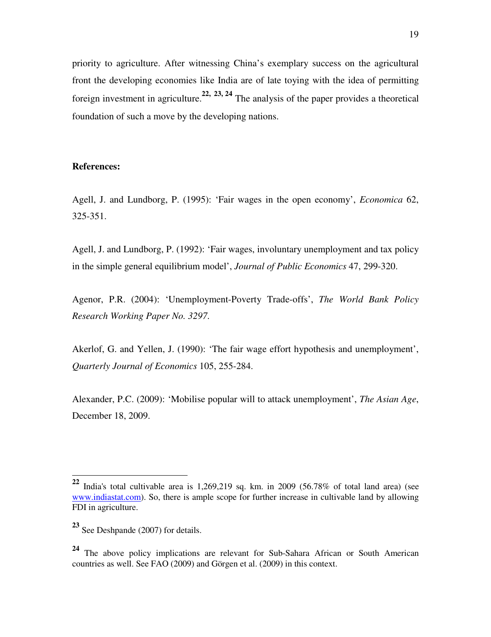priority to agriculture. After witnessing China's exemplary success on the agricultural front the developing economies like India are of late toying with the idea of permitting foreign investment in agriculture.**22, 23, 24** The analysis of the paper provides a theoretical foundation of such a move by the developing nations.

#### **References:**

Agell, J. and Lundborg, P. (1995): 'Fair wages in the open economy', *Economica* 62, 325-351.

Agell, J. and Lundborg, P. (1992): 'Fair wages, involuntary unemployment and tax policy in the simple general equilibrium model', *Journal of Public Economics* 47, 299-320.

Agenor, P.R. (2004): 'Unemployment-Poverty Trade-offs', *The World Bank Policy Research Working Paper No. 3297*.

Akerlof, G. and Yellen, J. (1990): 'The fair wage effort hypothesis and unemployment', *Quarterly Journal of Economics* 105, 255-284.

Alexander, P.C. (2009): 'Mobilise popular will to attack unemployment', *The Asian Age*, December 18, 2009.

**<sup>22</sup>** India's total cultivable area is 1,269,219 sq. km. in 2009 (56.78% of total land area) (see <www.indiastat.com>). So, there is ample scope for further increase in cultivable land by allowing FDI in agriculture.

**<sup>23</sup>** See Deshpande (2007) for details.

**<sup>24</sup>** The above policy implications are relevant for Sub-Sahara African or South American countries as well. See FAO (2009) and Görgen et al. (2009) in this context.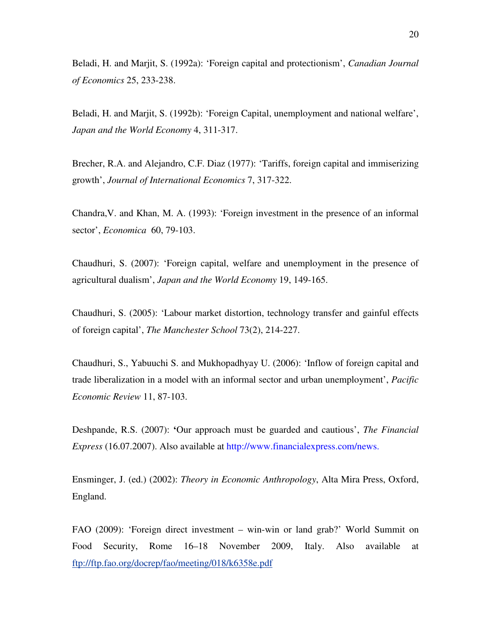Beladi, H. and Marjit, S. (1992a): 'Foreign capital and protectionism', *Canadian Journal of Economics* 25, 233-238.

Beladi, H. and Marjit, S. (1992b): 'Foreign Capital, unemployment and national welfare', *Japan and the World Economy* 4, 311-317.

Brecher, R.A. and Alejandro, C.F. Diaz (1977): 'Tariffs, foreign capital and immiserizing growth', *Journal of International Economics* 7, 317-322.

Chandra,V. and Khan, M. A. (1993): 'Foreign investment in the presence of an informal sector', *Economica* 60, 79-103.

Chaudhuri, S. (2007): 'Foreign capital, welfare and unemployment in the presence of agricultural dualism', *Japan and the World Economy* 19, 149-165.

Chaudhuri, S. (2005): 'Labour market distortion, technology transfer and gainful effects of foreign capital', *The Manchester School* 73(2), 214-227.

Chaudhuri, S., Yabuuchi S. and Mukhopadhyay U. (2006): 'Inflow of foreign capital and trade liberalization in a model with an informal sector and urban unemployment', *Pacific Economic Review* 11, 87-103.

Deshpande, R.S. (2007): **'**Our approach must be guarded and cautious', *The Financial Express* (16.07.2007). Also available at [http://www.financialexpress.com/news.](http://www.financialexpress.com/news)

Ensminger, J. (ed.) (2002): *Theory in Economic Anthropology*, Alta Mira Press, Oxford, England.

FAO (2009): 'Foreign direct investment – win-win or land grab?' World Summit on Food Security, Rome 16–18 November 2009, Italy. Also available at ftp://ftp.fao.org/docrep/fao/meeting/018/k6358e.pdf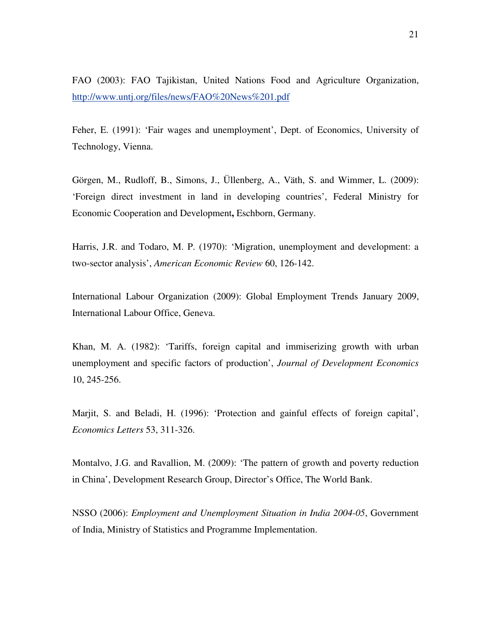FAO (2003): FAO Tajikistan, United Nations Food and Agriculture Organization, <http://www.untj.org/files/news/FAO%20News%201.pdf>

Feher, E. (1991): 'Fair wages and unemployment', Dept. of Economics, University of Technology, Vienna.

Görgen, M., Rudloff, B., Simons, J., Üllenberg, A., Väth, S. and Wimmer, L. (2009): 'Foreign direct investment in land in developing countries', Federal Ministry for Economic Cooperation and Development**,** Eschborn, Germany.

Harris, J.R. and Todaro, M. P. (1970): 'Migration, unemployment and development: a two-sector analysis', *American Economic Review* 60, 126-142.

International Labour Organization (2009): Global Employment Trends January 2009, International Labour Office, Geneva.

Khan, M. A. (1982): 'Tariffs, foreign capital and immiserizing growth with urban unemployment and specific factors of production', *Journal of Development Economics* 10, 245-256.

Marjit, S. and Beladi, H. (1996): 'Protection and gainful effects of foreign capital', *Economics Letters* 53, 311-326.

Montalvo, J.G. and Ravallion, M. (2009): 'The pattern of growth and poverty reduction in China', Development Research Group, Director's Office, The World Bank.

NSSO (2006): *Employment and Unemployment Situation in India 2004-05*, Government of India, Ministry of Statistics and Programme Implementation.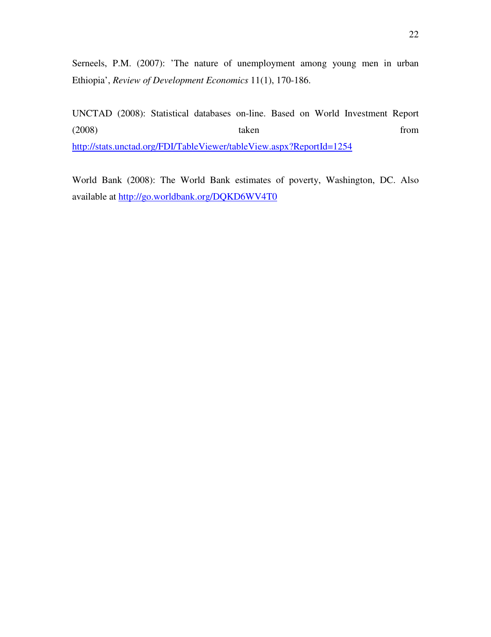Serneels, P.M. (2007): 'The nature of unemployment among young men in urban Ethiopia', *Review of Development Economics* 11(1), 170-186.

UNCTAD (2008): Statistical databases on-line. Based on World Investment Report (2008) taken from <http://stats.unctad.org/FDI/TableViewer/tableView.aspx>?ReportId=1254

World Bank (2008): The World Bank estimates of poverty, Washington, DC. Also available at <http://go.worldbank.org/DQKD6WV4T0>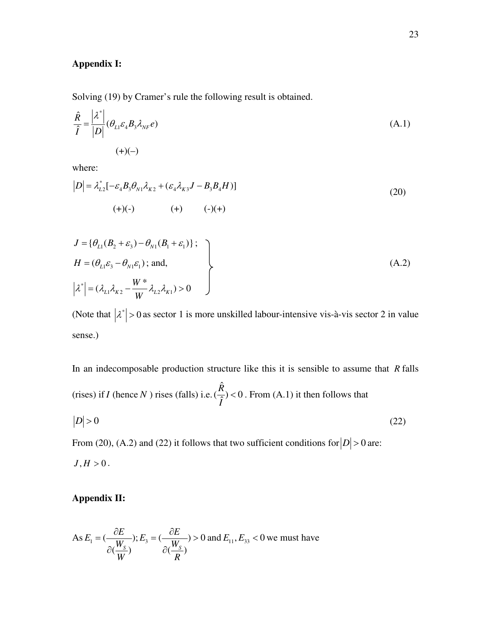### **Appendix I:**

Solving (19) by Cramer's rule the following result is obtained.

$$
\frac{\hat{R}}{\hat{I}} = \frac{\left|\lambda^*\right|}{\left|D\right|} (\theta_{LI} \varepsilon_4 B_3 \lambda_{NF} e) \tag{A.1}
$$
\n
$$
(+)(-)
$$

where:

$$
|D| = \lambda_{L2}^*[-\varepsilon_4 B_3 \theta_{N1} \lambda_{K2} + (\varepsilon_4 \lambda_{K3} J - B_3 B_4 H)]
$$
  
(+)(-)  
(+) (+) (+) (-(+)

$$
J = {\theta_{L1}(B_2 + \varepsilon_3) - \theta_{N1}(B_1 + \varepsilon_1)}; H = (\theta_{L1}\varepsilon_3 - \theta_{N1}\varepsilon_1); and, |\lambda^*| = (\lambda_{L1}\lambda_{K2} - \frac{W^*}{W}\lambda_{L2}\lambda_{K1}) > 0
$$
 (A.2)

(Note that  $|\lambda^*| > 0$  as sector 1 is more unskilled labour-intensive vis-à-vis sector 2 in value sense.)

In an indecomposable production structure like this it is sensible to assume that *R* falls (rises) if *I* (hence *N* ) rises (falls) i.e. ˆ  $\left(\frac{R}{\hat{I}}\right) < 0$ *I*  $< 0$ . From  $(A.1)$  it then follows that  $D > 0$  (22)

From (20), (A.2) and (22) it follows that two sufficient conditions for  $|D| > 0$  are:  $J, H > 0$ .

#### **Appendix II:**

As 
$$
E_1 = \left(\frac{\partial E}{\partial \left(\frac{W_s}{W}\right)}\right); E_3 = \left(\frac{\partial E}{\partial \left(\frac{W_s}{R}\right)}\right) > 0
$$
 and  $E_{11}, E_{33} < 0$  we must have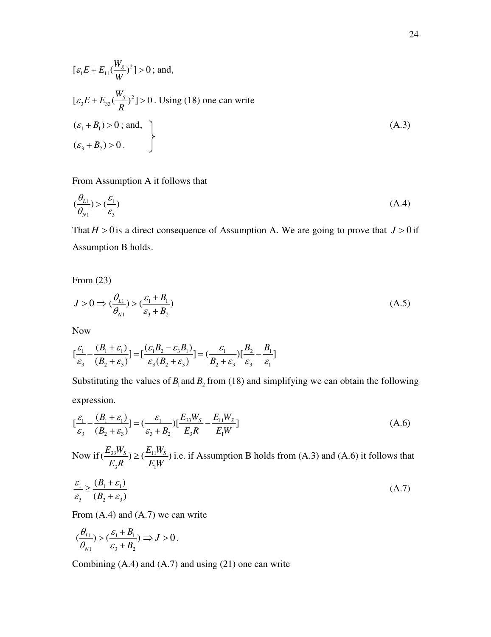$$
[\varepsilon_1 E + E_{11} (\frac{W_s}{W})^2] > 0; \text{ and,}
$$
  
\n
$$
[\varepsilon_3 E + E_{33} (\frac{W_s}{R})^2] > 0. \text{ Using (18) one can write}
$$
  
\n
$$
(\varepsilon_1 + B_1) > 0; \text{ and,}
$$
  
\n
$$
(\varepsilon_3 + B_2) > 0.
$$
 (A.3)

From Assumption A it follows that

$$
\left(\frac{\theta_{L1}}{\theta_{N1}}\right) > \left(\frac{\varepsilon_1}{\varepsilon_3}\right) \tag{A.4}
$$

That  $H > 0$  is a direct consequence of Assumption A. We are going to prove that  $J > 0$  if Assumption B holds.

From (23)

$$
J > 0 \Rightarrow (\frac{\theta_{L1}}{\theta_{N1}}) > (\frac{\varepsilon_1 + B_1}{\varepsilon_3 + B_2})
$$
\n(A.5)

Now

$$
\left[\frac{\varepsilon_1}{\varepsilon_3} - \frac{(B_1 + \varepsilon_1)}{(B_2 + \varepsilon_3)}\right] = \left[\frac{(\varepsilon_1 B_2 - \varepsilon_3 B_1)}{\varepsilon_3 (B_2 + \varepsilon_3)}\right] = \left(\frac{\varepsilon_1}{B_2 + \varepsilon_3}\right) \left[\frac{B_2}{\varepsilon_3} - \frac{B_1}{\varepsilon_1}\right]
$$

Substituting the values of  $B_1$  and  $B_2$  from (18) and simplifying we can obtain the following expression.

$$
\left[\frac{\varepsilon_{1}}{\varepsilon_{3}} - \frac{(B_{1} + \varepsilon_{1})}{(B_{2} + \varepsilon_{3})}\right] = \left(\frac{\varepsilon_{1}}{\varepsilon_{3} + B_{2}}\right)\left[\frac{E_{33}W_{S}}{E_{3}R} - \frac{E_{11}W_{S}}{E_{1}W}\right]
$$
\n(A.6)

Now if  $(\frac{L_{33}r_s}{R_{12}}) \geq (\frac{L_{11}}{R_{12}})$  $3^{\prime\prime}$   $L_1$  $(\frac{E_{33}W_s}{\sqrt{E_{12}E}}) \geq (\frac{E_{11}W_s}{\sqrt{E_{22}E}})$  $E_{\rm j}R$ <sup>2</sup> E<sub>1</sub>W  $\geq \left(\frac{E_{11}W_S}{E_{12}W_S}\right)$  i.e. if Assumption B holds from (A.3) and (A.6) it follows that

$$
\frac{\varepsilon_1}{\varepsilon_3} \ge \frac{(B_1 + \varepsilon_1)}{(B_2 + \varepsilon_3)}\tag{A.7}
$$

From (A.4) and (A.7) we can write

$$
(\frac{\theta_{L1}}{\theta_{N1}}) > (\frac{\varepsilon_1 + B_1}{\varepsilon_3 + B_2}) \Rightarrow J > 0.
$$

Combining (A.4) and (A.7) and using (21) one can write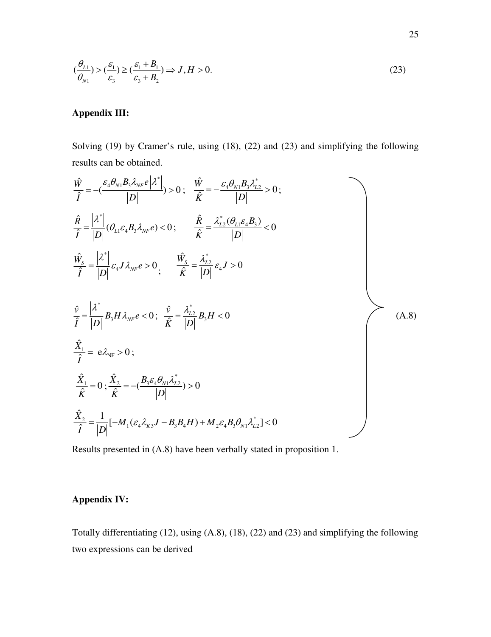$$
(\frac{\theta_{L1}}{\theta_{N1}}) > (\frac{\varepsilon_1}{\varepsilon_3}) \ge (\frac{\varepsilon_1 + B_1}{\varepsilon_3 + B_2}) \Rightarrow J, H > 0.
$$
\n(23)

## **Appendix III:**

Solving (19) by Cramer's rule, using (18), (22) and (23) and simplifying the following results can be obtained.

$$
\frac{\hat{w}}{\hat{i}} = -\frac{\varepsilon_4 \theta_{N1} B_3 \lambda_{NP} e |\lambda^*|}{|D|} > 0; \quad \frac{\hat{w}}{\hat{k}} = -\frac{\varepsilon_4 \theta_{N1} B_3 \lambda_{L2}^*}{|D|} > 0; \n\frac{\hat{R}}{\hat{i}} = \frac{|\lambda^*|}{|D|} (\theta_{L1} \varepsilon_4 B_3 \lambda_{NP} e) < 0; \quad \frac{\hat{R}}{\hat{k}} = \frac{\lambda_{L2}^* (\theta_{L1} \varepsilon_4 B_3)}{|D|} < 0 \n\frac{\hat{w}_s}{\hat{i}} = \frac{|\lambda^*|}{|D|} \varepsilon_4 J \lambda_{NP} e > 0; \quad \frac{\hat{w}_s}{\hat{k}} = \frac{\lambda_{L2}^*}{|D|} \varepsilon_4 J > 0 \n\frac{\hat{v}}{\hat{i}} = \frac{|\lambda^*|}{|D|} B_3 H \lambda_{NP} e < 0; \quad \frac{\hat{v}}{\hat{k}} = \frac{\lambda_{L2}^*}{|D|} B_3 H < 0 \n\frac{\hat{X}_1}{\hat{i}} = e \lambda_{NF} > 0; \n\frac{\hat{X}_1}{\hat{k}} = 0; \frac{\hat{X}_2}{\hat{k}} = -\frac{B_3 \varepsilon_4 \theta_{N1} \lambda_{L2}^*}{|D|} > 0 \n\frac{\hat{X}_2}{\hat{i}} = \frac{1}{|D|} [-M_1(\varepsilon_4 \lambda_{K3} J - B_3 B_4 H) + M_2 \varepsilon_4 B_3 \theta_{N1} \lambda_{L2}^*] < 0
$$
\n(A.8)

Results presented in (A.8) have been verbally stated in proposition 1.

## **Appendix IV:**

Totally differentiating (12), using (A.8), (18), (22) and (23) and simplifying the following two expressions can be derived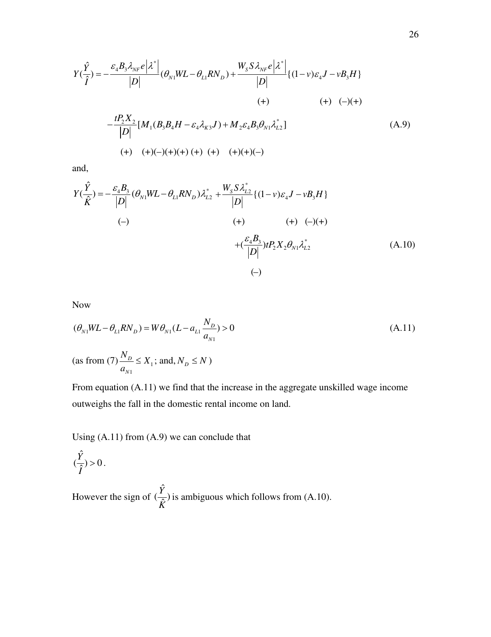$$
Y(\frac{\hat{Y}}{\hat{I}}) = -\frac{\varepsilon_4 B_3 \lambda_{NF} e |\lambda^*|}{|D|} (\theta_{N1} WL - \theta_{L1} RN_D) + \frac{W_S S \lambda_{NF} e |\lambda^*|}{|D|} \{ (1 - v)\varepsilon_4 J - vB_3 H \}
$$
  
\n(+) (+) (+) (-)(+)  
\n
$$
-\frac{t P_2 X_2}{|D|} [M_1 (B_3 B_4 H - \varepsilon_4 \lambda_{K3} J) + M_2 \varepsilon_4 B_3 \theta_{N1} \lambda_{L2}^* ]
$$
  
\n(+) (+) (+)(-)(+) (+) (+) (+) (+) (+)(+) (-)

and,

4 3 \* 1 1 2 ˆ ( ) ( ) <sup>ˆ</sup> *N L D L Y B Y WL RN K D*  \* 2 4 3 {(1 ) } *W SS L v J vB H D* (–) (+) (+) (–)(+) 4 3 \* 2 2 1 2 ( ) *N L B tP X D*  (A.10) (–)

Now

$$
(\theta_{N1}WL - \theta_{L1}RN_D) = W\theta_{N1}(L - a_{L1}\frac{N_D}{a_{N1}}) > 0
$$
\n
$$
\text{(as from (7) } \frac{N_D}{a_{N1}} \le X_1 \text{; and, } N_D \le N \text{)}
$$

From equation (A.11) we find that the increase in the aggregate unskilled wage income outweighs the fall in the domestic rental income on land.

Using (A.11) from (A.9) we can conclude that

ˆ  $(\frac{\overline{Y}}{\hat{I}}) > 0$ *I*  $>0$ .

However the sign of ˆ  $(\frac{Y}{\hat{K}})$ *K* is ambiguous which follows from (A.10).